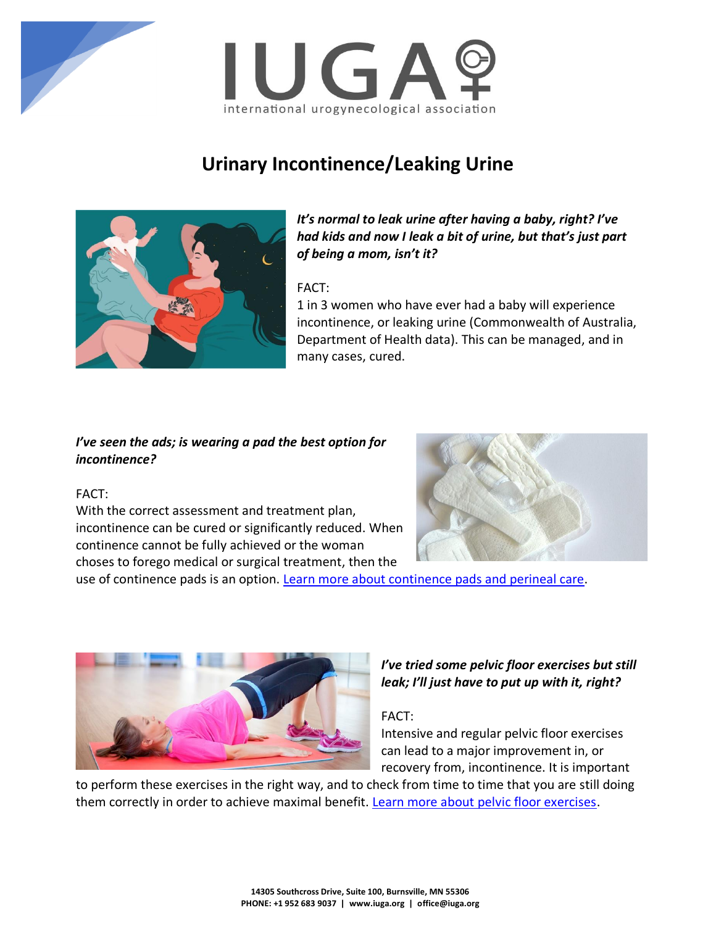



# **Urinary Incontinence/Leaking Urine**



*It's normal to leak urine after having a baby, right? I've had kids and now I leak a bit of urine, but that's just part of being a mom, isn't it?* 

## FACT:

1 in 3 women who have ever had a baby will experience incontinence, or leaking urine (Commonwealth of Australia, Department of Health data). This can be managed, and in many cases, cured.

## *I've seen the ads; is wearing a pad the best option for incontinence?*

## FACT:

With the correct assessment and treatment plan, incontinence can be cured or significantly reduced. When continence cannot be fully achieved or the woman choses to forego medical or surgical treatment, then the



use of continence pads is an option. [Learn more about continence pads and perineal care.](https://www.yourpelvicfloor.org/conditions/continence-pads-and-perineal-care/)



# *I've tried some pelvic floor exercises but still leak; I'll just have to put up with it, right?*

## FACT:

Intensive and regular pelvic floor exercises can lead to a major improvement in, or recovery from, incontinence. It is important

to perform these exercises in the right way, and to check from time to time that you are still doing them correctly in order to achieve maximal benefit. [Learn more about pelvic floor exercises.](https://www.yourpelvicfloor.org/conditions/pelvic-floor-exercises/)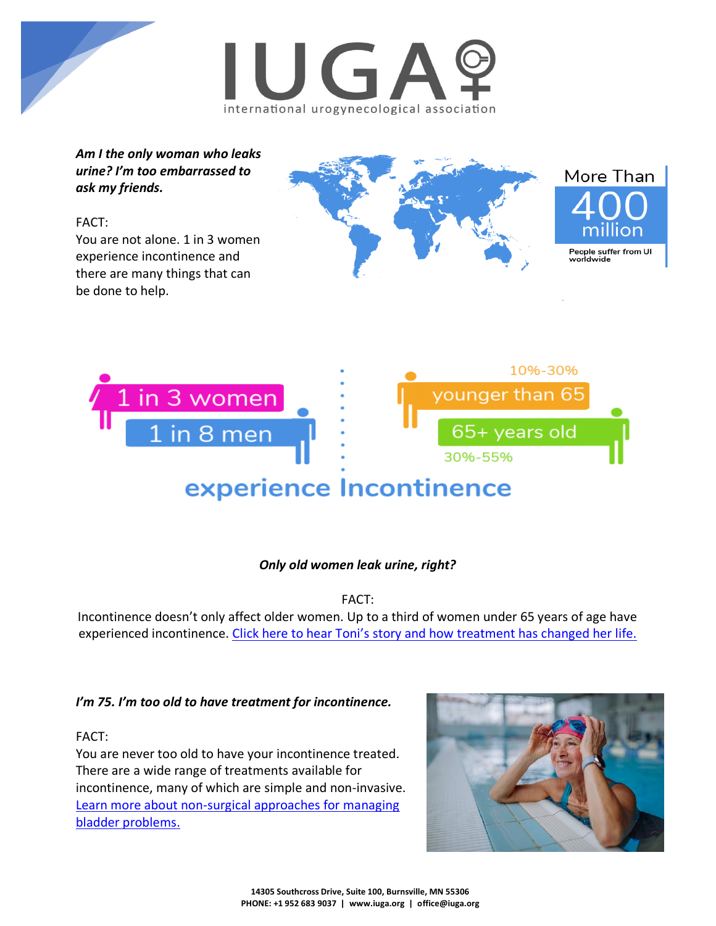



*Am I the only woman who leaks urine? I'm too embarrassed to ask my friends.*

# FACT:

You are not alone. 1 in 3 women experience incontinence and there are many things that can be done to help.





# *Only old women leak urine, right?*

FACT:

Incontinence doesn't only affect older women. Up to a third of women under 65 years of age have experienced incontinence. Click here to hear Toni's story and how [treatment has changed her life.](https://www.yourpelvicfloor.org/stress-urinary-incontinence/toni-uk/)

## *I'm 75. I'm too old to have treatment for incontinence.*

## FACT:

You are never too old to have your incontinence treated. There are a wide range of treatments available for incontinence, many of which are simple and non-invasive. [Learn more about non-surgical approaches for managing](https://www.yourpelvicfloor.org/conditions/non-surgical-approaches-to-managing-bladder-problems/)  [bladder problems.](https://www.yourpelvicfloor.org/conditions/non-surgical-approaches-to-managing-bladder-problems/)